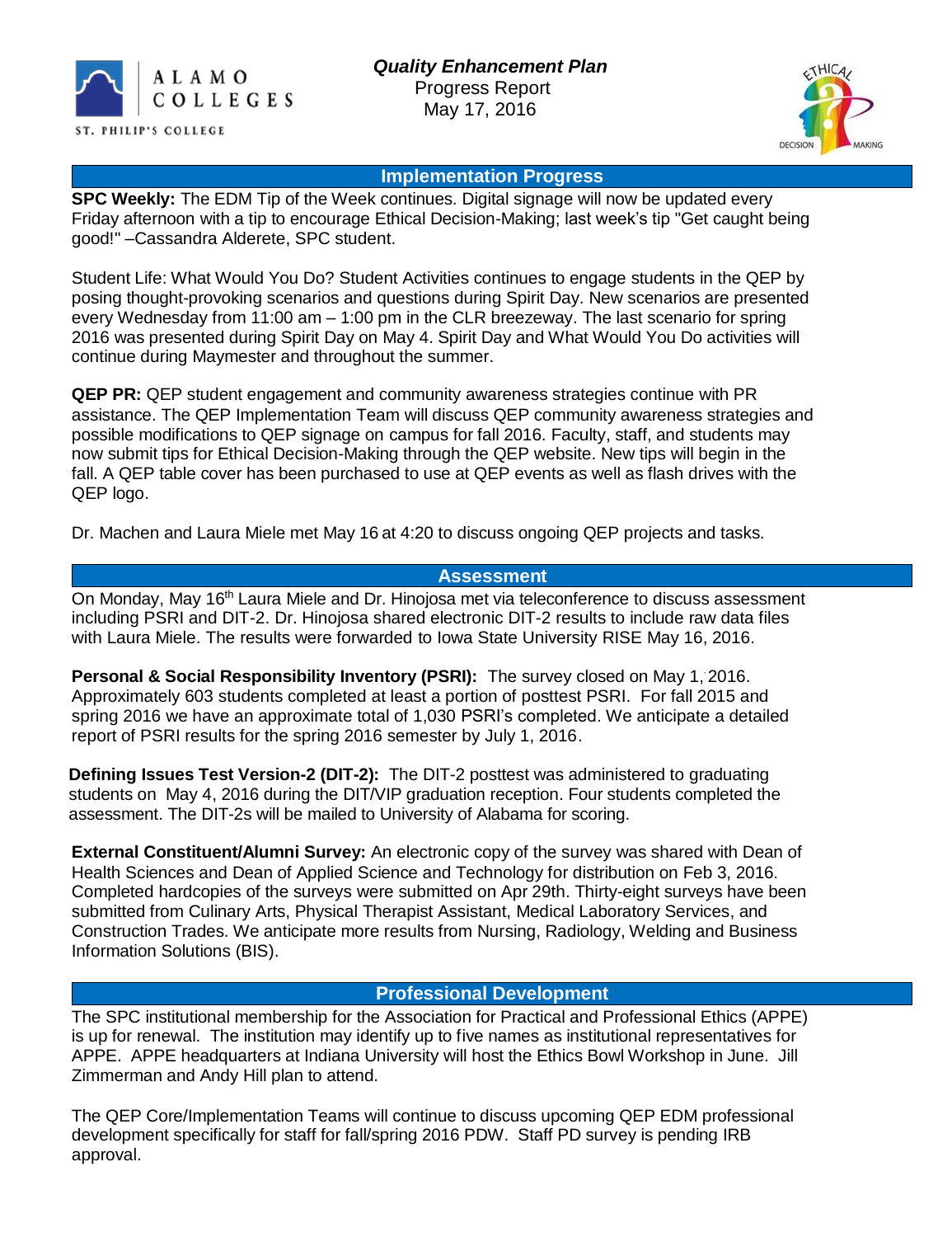



#### **Implementation Progress**

**SPC Weekly:** The EDM Tip of the Week continues. Digital signage will now be updated every Friday afternoon with a tip to encourage Ethical Decision-Making; last week's tip "Get caught being good!" –Cassandra Alderete, SPC student.

Student Life: What Would You Do? Student Activities continues to engage students in the QEP by posing thought-provoking scenarios and questions during Spirit Day. New scenarios are presented every Wednesday from 11:00 am – 1:00 pm in the CLR breezeway. The last scenario for spring 2016 was presented during Spirit Day on May 4. Spirit Day and What Would You Do activities will continue during Maymester and throughout the summer.

**QEP PR:** QEP student engagement and community awareness strategies continue with PR assistance. The QEP Implementation Team will discuss QEP community awareness strategies and possible modifications to QEP signage on campus for fall 2016. Faculty, staff, and students may now submit tips for Ethical Decision-Making through the QEP website. New tips will begin in the fall. A QEP table cover has been purchased to use at QEP events as well as flash drives with the QEP logo.

Dr. Machen and Laura Miele met May 16 at 4:20 to discuss ongoing QEP projects and tasks.

#### **Assessment**

On Monday, May 16<sup>th</sup> Laura Miele and Dr. Hinoiosa met via teleconference to discuss assessment including PSRI and DIT-2. Dr. Hinojosa shared electronic DIT-2 results to include raw data files with Laura Miele. The results were forwarded to Iowa State University RISE May 16, 2016.

**Personal & Social Responsibility Inventory (PSRI):** The survey closed on May 1, , 2016. Approximately 603 students completed at least a portion of posttest PSRI. For fall 2015 and spring 2016 we have an approximate total of 1,030 PSRI's completed. We anticipate a detailed report of PSRI results for the spring 2016 semester by July 1, 2016.

**Defining Issues Test Version-2 (DIT-2):** The DIT-2 posttest was administered to graduating students on May 4, 2016 during the DIT/VIP graduation reception. Four students completed the assessment. The DIT-2s will be mailed to University of Alabama for scoring.

**External Constituent/Alumni Survey:** An electronic copy of the survey was shared with Dean of Health Sciences and Dean of Applied Science and Technology for distribution on Feb 3, 2016. Completed hardcopies of the surveys were submitted on Apr 29th. Thirty-eight surveys have been submitted from Culinary Arts, Physical Therapist Assistant, Medical Laboratory Services, and Construction Trades. We anticipate more results from Nursing, Radiology, Welding and Business Information Solutions (BIS).

#### **Professional Development**

The SPC institutional membership for the Association for Practical and Professional Ethics (APPE) is up for renewal. The institution may identify up to five names as institutional representatives for APPE. APPE headquarters at Indiana University will host the Ethics Bowl Workshop in June. Jill Zimmerman and Andy Hill plan to attend.

The QEP Core/Implementation Teams will continue to discuss upcoming QEP EDM professional development specifically for staff for fall/spring 2016 PDW. Staff PD survey is pending IRB approval.